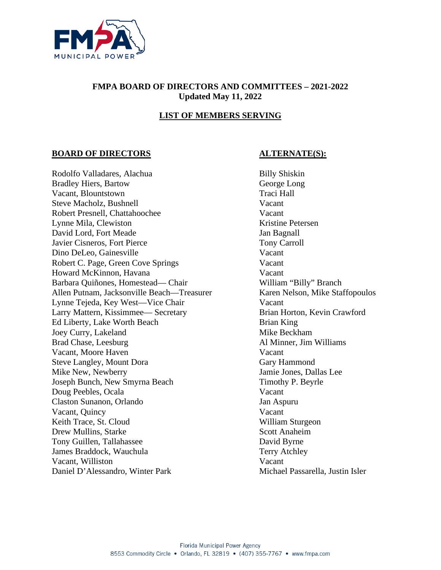

#### **FMPA BOARD OF DIRECTORS AND COMMITTEES – 2021-2022 Updated May 11, 2022**

# **LIST OF MEMBERS SERVING**

#### **BOARD OF DIRECTORS ALTERNATE(S):**

Rodolfo Valladares, Alachua Billy Shiskin Bradley Hiers, Bartow George Long Vacant, Blountstown Traci Hall Steve Macholz, Bushnell Vacant Robert Presnell, Chattahoochee Vacant Lynne Mila, Clewiston Kristine Petersen David Lord, Fort Meade Jan Bagnall Javier Cisneros, Fort Pierce Tony Carroll Dino DeLeo, Gainesville Vacant Robert C. Page, Green Cove Springs Vacant Howard McKinnon, Havana Vacant Barbara Quiñones, Homestead— Chair William "Billy" Branch Allen Putnam, Jacksonville Beach—Treasurer Karen Nelson, Mike Staffopoulos Lynne Tejeda, Key West—Vice Chair Vacant Larry Mattern, Kissimmee— Secretary Brian Horton, Kevin Crawford Ed Liberty, Lake Worth Beach Brian King Joey Curry, Lakeland Mike Beckham Brad Chase, Leesburg and Al Minner, Jim Williams Vacant, Moore Haven Vacant Steve Langley, Mount Dora Gary Hammond Mike New, Newberry Jamie Jones, Dallas Lee Joseph Bunch, New Smyrna Beach Timothy P. Beyrle Doug Peebles, Ocala Vacant Claston Sunanon, Orlando Jan Aspuru Vacant, Quincy Vacant Keith Trace, St. Cloud William Sturgeon Drew Mullins, Starke Scott Anaheim Tony Guillen, Tallahassee David Byrne James Braddock, Wauchula Terry Atchley Vacant, Williston Vacant Daniel D'Alessandro, Winter Park Michael Passarella, Justin Isler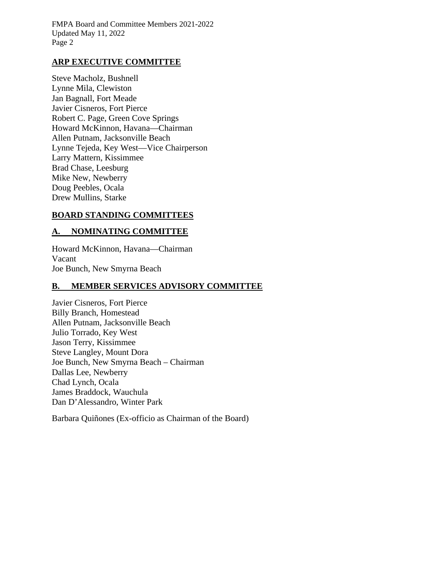## **ARP EXECUTIVE COMMITTEE**

Steve Macholz, Bushnell Lynne Mila, Clewiston Jan Bagnall, Fort Meade Javier Cisneros, Fort Pierce Robert C. Page, Green Cove Springs Howard McKinnon, Havana—Chairman Allen Putnam, Jacksonville Beach Lynne Tejeda, Key West—Vice Chairperson Larry Mattern, Kissimmee Brad Chase, Leesburg Mike New, Newberry Doug Peebles, Ocala Drew Mullins, Starke

#### **BOARD STANDING COMMITTEES**

## **A. NOMINATING COMMITTEE**

Howard McKinnon, Havana—Chairman Vacant Joe Bunch, New Smyrna Beach

#### **B. MEMBER SERVICES ADVISORY COMMITTEE**

Javier Cisneros, Fort Pierce Billy Branch, Homestead Allen Putnam, Jacksonville Beach Julio Torrado, Key West Jason Terry, Kissimmee Steve Langley, Mount Dora Joe Bunch, New Smyrna Beach – Chairman Dallas Lee, Newberry Chad Lynch, Ocala James Braddock, Wauchula Dan D'Alessandro, Winter Park

Barbara Quiñones (Ex-officio as Chairman of the Board)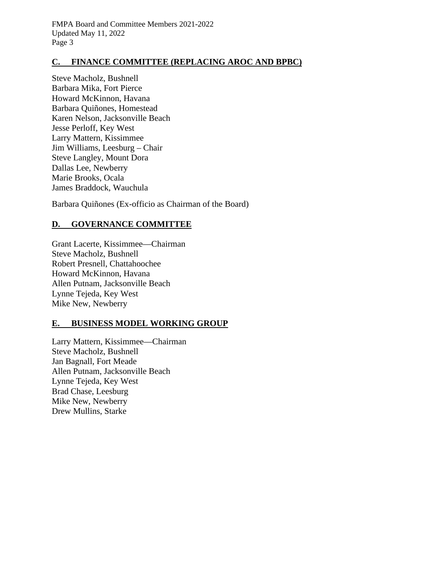# **C. FINANCE COMMITTEE (REPLACING AROC AND BPBC)**

Steve Macholz, Bushnell Barbara Mika, Fort Pierce Howard McKinnon, Havana Barbara Quiñones, Homestead Karen Nelson, Jacksonville Beach Jesse Perloff, Key West Larry Mattern, Kissimmee Jim Williams, Leesburg – Chair Steve Langley, Mount Dora Dallas Lee, Newberry Marie Brooks, Ocala James Braddock, Wauchula

Barbara Quiñones (Ex-officio as Chairman of the Board)

# **D. GOVERNANCE COMMITTEE**

Grant Lacerte, Kissimmee—Chairman Steve Macholz, Bushnell Robert Presnell, Chattahoochee Howard McKinnon, Havana Allen Putnam, Jacksonville Beach Lynne Tejeda, Key West Mike New, Newberry

# **E. BUSINESS MODEL WORKING GROUP**

Larry Mattern, Kissimmee—Chairman Steve Macholz, Bushnell Jan Bagnall, Fort Meade Allen Putnam, Jacksonville Beach Lynne Tejeda, Key West Brad Chase, Leesburg Mike New, Newberry Drew Mullins, Starke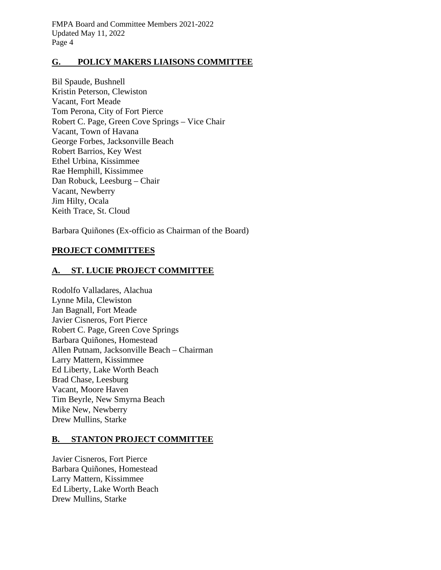#### **G. POLICY MAKERS LIAISONS COMMITTEE**

Bil Spaude, Bushnell Kristin Peterson, Clewiston Vacant, Fort Meade Tom Perona, City of Fort Pierce Robert C. Page, Green Cove Springs – Vice Chair Vacant, Town of Havana George Forbes, Jacksonville Beach Robert Barrios, Key West Ethel Urbina, Kissimmee Rae Hemphill, Kissimmee Dan Robuck, Leesburg – Chair Vacant, Newberry Jim Hilty, Ocala Keith Trace, St. Cloud

Barbara Quiñones (Ex-officio as Chairman of the Board)

## **PROJECT COMMITTEES**

## **A. ST. LUCIE PROJECT COMMITTEE**

Rodolfo Valladares, Alachua Lynne Mila, Clewiston Jan Bagnall, Fort Meade Javier Cisneros, Fort Pierce Robert C. Page, Green Cove Springs Barbara Quiñones, Homestead Allen Putnam, Jacksonville Beach – Chairman Larry Mattern, Kissimmee Ed Liberty, Lake Worth Beach Brad Chase, Leesburg Vacant, Moore Haven Tim Beyrle, New Smyrna Beach Mike New, Newberry Drew Mullins, Starke

#### **B. STANTON PROJECT COMMITTEE**

Javier Cisneros, Fort Pierce Barbara Quiñones, Homestead Larry Mattern, Kissimmee Ed Liberty, Lake Worth Beach Drew Mullins, Starke